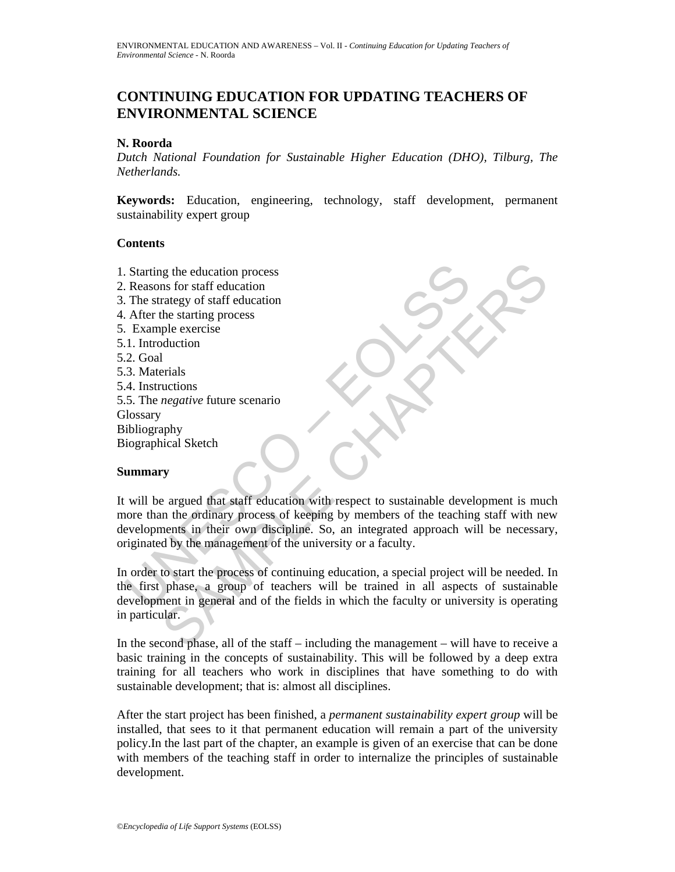# **CONTINUING EDUCATION FOR UPDATING TEACHERS OF ENVIRONMENTAL SCIENCE**

#### **N. Roorda**

*Dutch National Foundation for Sustainable Higher Education (DHO), Tilburg, The Netherlands.*

**Keywords:** Education, engineering, technology, staff development, permanent sustainability expert group

#### **Contents**

- 1. Starting the education process
- 2. Reasons for staff education
- 3. The strategy of staff education
- 4. After the starting process
- 5. Example exercise
- 5.1. Introduction
- 5.2. Goal
- 5.3. Materials
- 5.4. Instructions
- 5.5. The *negative* future scenario **Glossary** Bibliography Biographical Sketch

#### **Summary**

Starting the education process<br>
Reasons for staff education<br>
The strategy of staff education<br>
After the starting process<br>
Designed Externals<br>
Designed Externals<br>
2. Goal<br>
4. Instructions<br>
4. Instructions<br>
4. Instructions<br> is for staff education<br>
and the starting process<br>
ple exercise<br>
ple exercise<br>
ple exercise<br>
ple exercise<br>
ple exercise<br>  $\frac{1}{1}$ <br>
arials<br>
auctions<br>  $\frac{1}{1}$ <br>  $\frac{1}{1}$ <br>  $\frac{1}{1}$ <br>  $\frac{1}{1}$ <br>  $\frac{1}{1}$ <br>  $\frac{1}{1}$ <br>  $\frac{1}{1$ It will be argued that staff education with respect to sustainable development is much more than the ordinary process of keeping by members of the teaching staff with new developments in their own discipline. So, an integrated approach will be necessary, originated by the management of the university or a faculty.

In order to start the process of continuing education, a special project will be needed. In the first phase, a group of teachers will be trained in all aspects of sustainable development in general and of the fields in which the faculty or university is operating in particular.

In the second phase, all of the staff – including the management – will have to receive a basic training in the concepts of sustainability. This will be followed by a deep extra training for all teachers who work in disciplines that have something to do with sustainable development; that is: almost all disciplines.

After the start project has been finished, a *permanent sustainability expert group* will be installed, that sees to it that permanent education will remain a part of the university policy.In the last part of the chapter, an example is given of an exercise that can be done with members of the teaching staff in order to internalize the principles of sustainable development.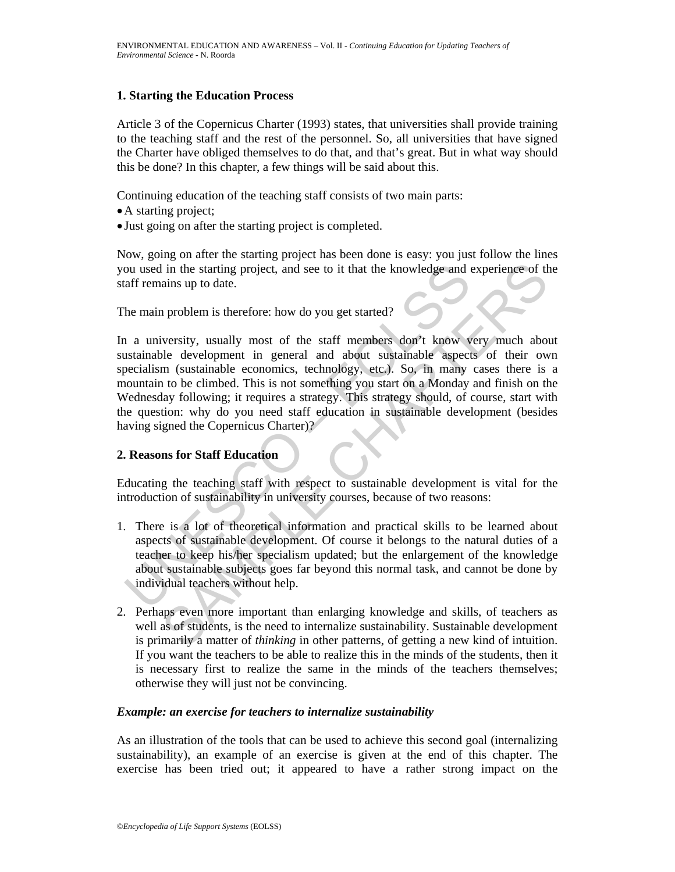#### **1. Starting the Education Process**

Article 3 of the Copernicus Charter (1993) states, that universities shall provide training to the teaching staff and the rest of the personnel. So, all universities that have signed the Charter have obliged themselves to do that, and that's great. But in what way should this be done? In this chapter, a few things will be said about this.

Continuing education of the teaching staff consists of two main parts:

- •A starting project;
- Just going on after the starting project is completed.

Now, going on after the starting project has been done is easy: you just follow the lines you used in the starting project, and see to it that the knowledge and experience of the staff remains up to date.

The main problem is therefore: how do you get started?

or used in the starting project, and see to it that the knowledge and caff remains up to date.<br>
The main problem is therefore: how do you get started?<br>
The main problem is therefore: how do you get started?<br>
The main probl I in the starting project, and see to it that the knowledge and experience of th<br>ains up to date.<br>
1 problem is therefore: how do you get started?<br>
1 problem is therefore: how do you get started?<br>
1 problem is therefore: h In a university, usually most of the staff members don't know very much about sustainable development in general and about sustainable aspects of their own specialism (sustainable economics, technology, etc.). So, in many cases there is a mountain to be climbed. This is not something you start on a Monday and finish on the Wednesday following; it requires a strategy. This strategy should, of course, start with the question: why do you need staff education in sustainable development (besides having signed the Copernicus Charter)?

## **2. Reasons for Staff Education**

Educating the teaching staff with respect to sustainable development is vital for the introduction of sustainability in university courses, because of two reasons:

- 1. There is a lot of theoretical information and practical skills to be learned about aspects of sustainable development. Of course it belongs to the natural duties of a teacher to keep his/her specialism updated; but the enlargement of the knowledge about sustainable subjects goes far beyond this normal task, and cannot be done by individual teachers without help.
- 2. Perhaps even more important than enlarging knowledge and skills, of teachers as well as of students, is the need to internalize sustainability. Sustainable development is primarily a matter of *thinking* in other patterns, of getting a new kind of intuition. If you want the teachers to be able to realize this in the minds of the students, then it is necessary first to realize the same in the minds of the teachers themselves; otherwise they will just not be convincing.

#### *Example: an exercise for teachers to internalize sustainability*

As an illustration of the tools that can be used to achieve this second goal (internalizing sustainability), an example of an exercise is given at the end of this chapter. The exercise has been tried out; it appeared to have a rather strong impact on the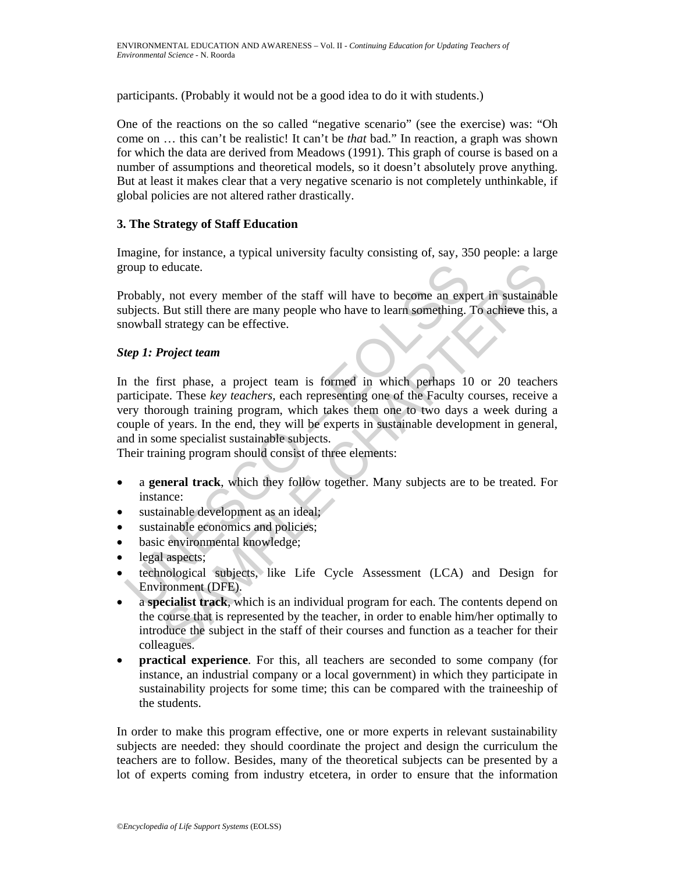participants. (Probably it would not be a good idea to do it with students.)

One of the reactions on the so called "negative scenario" (see the exercise) was: "Oh come on … this can't be realistic! It can't be *that* bad." In reaction, a graph was shown for which the data are derived from Meadows (1991). This graph of course is based on a number of assumptions and theoretical models, so it doesn't absolutely prove anything. But at least it makes clear that a very negative scenario is not completely unthinkable, if global policies are not altered rather drastically.

### **3. The Strategy of Staff Education**

Imagine, for instance, a typical university faculty consisting of, say, 350 people: a large group to educate.

Probably, not every member of the staff will have to become an expert in sustainable subjects. But still there are many people who have to learn something. To achieve this, a snowball strategy can be effective.

### *Step 1: Project team*

roup to educate.<br>
robably, not every member of the staff will have to become an exp<br>
blyects. But still there are many people who have to learn something.<br> *i*<br> *nowball strategy* can be effective.<br> *tep 1: Project team*<br> educate.<br>
, not every member of the staff will have to become an expert in sustainable <br>
But still there are many people who have to learn something. To achieve this,<br>
strategy can be effective.<br> **Project team**<br>
irst phase In the first phase, a project team is formed in which perhaps 10 or 20 teachers participate. These *key teachers,* each representing one of the Faculty courses, receive a very thorough training program, which takes them one to two days a week during a couple of years. In the end, they will be experts in sustainable development in general, and in some specialist sustainable subjects.

Their training program should consist of three elements:

- a **general track**, which they follow together. Many subjects are to be treated. For instance:
- sustainable development as an ideal;
- sustainable economics and policies;
- basic environmental knowledge;
- legal aspects;
- technological subjects, like Life Cycle Assessment (LCA) and Design for Environment (DFE).
- a **specialist track**, which is an individual program for each. The contents depend on the course that is represented by the teacher, in order to enable him/her optimally to introduce the subject in the staff of their courses and function as a teacher for their colleagues.
- **practical experience**. For this, all teachers are seconded to some company (for instance, an industrial company or a local government) in which they participate in sustainability projects for some time; this can be compared with the traineeship of the students.

In order to make this program effective, one or more experts in relevant sustainability subjects are needed: they should coordinate the project and design the curriculum the teachers are to follow. Besides, many of the theoretical subjects can be presented by a lot of experts coming from industry etcetera, in order to ensure that the information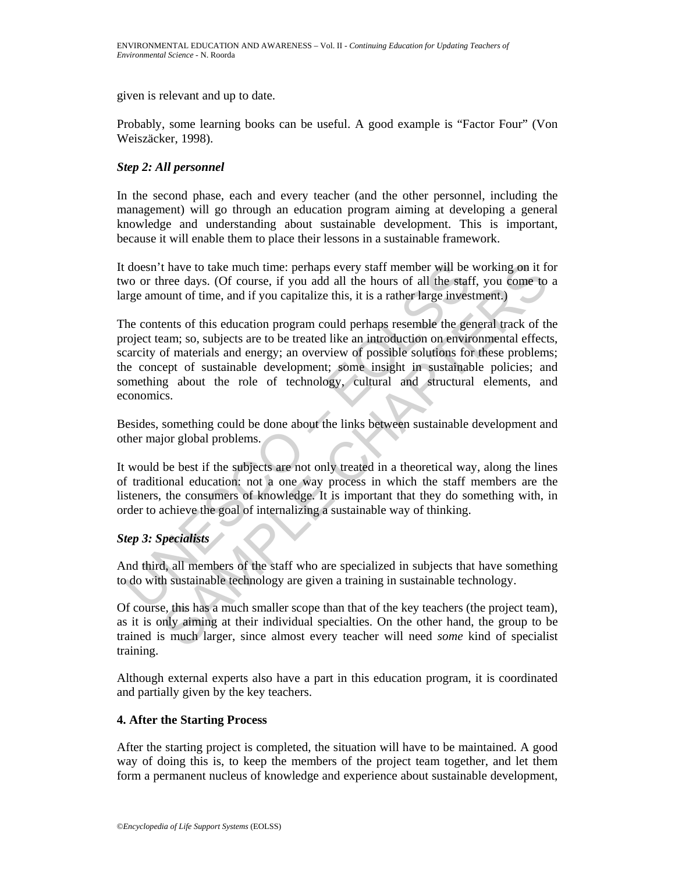given is relevant and up to date.

Probably, some learning books can be useful. A good example is "Factor Four" (Von Weiszäcker, 1998).

#### *Step 2: All personnel*

In the second phase, each and every teacher (and the other personnel, including the management) will go through an education program aiming at developing a general knowledge and understanding about sustainable development. This is important, because it will enable them to place their lessons in a sustainable framework.

It doesn't have to take much time: perhaps every staff member will be working on it for two or three days. (Of course, if you add all the hours of all the staff, you come to a large amount of time, and if you capitalize this, it is a rather large investment.)

doesn't have to take much time: perhaps every staff member will be<br>wo or three days. (Of course, if you add all the hours of all the staf<br>right argue amount of time, and if you capitalize this, it is a rather large inves<br>t thave to take much time: perhaps every staff member will be working on it for<br>cord days. (Of course, if you add all the hours of all the staff, you come<br>to out of time, and if you can all the hours of all the staff, you co The contents of this education program could perhaps resemble the general track of the project team; so, subjects are to be treated like an introduction on environmental effects, scarcity of materials and energy; an overview of possible solutions for these problems; the concept of sustainable development; some insight in sustainable policies; and something about the role of technology, cultural and structural elements, and economics.

Besides, something could be done about the links between sustainable development and other major global problems.

It would be best if the subjects are not only treated in a theoretical way, along the lines of traditional education: not a one way process in which the staff members are the listeners, the consumers of knowledge. It is important that they do something with, in order to achieve the goal of internalizing a sustainable way of thinking.

## *Step 3: Specialists*

And third, all members of the staff who are specialized in subjects that have something to do with sustainable technology are given a training in sustainable technology.

Of course, this has a much smaller scope than that of the key teachers (the project team), as it is only aiming at their individual specialties. On the other hand, the group to be trained is much larger, since almost every teacher will need *some* kind of specialist training.

Although external experts also have a part in this education program, it is coordinated and partially given by the key teachers.

#### **4. After the Starting Process**

After the starting project is completed, the situation will have to be maintained. A good way of doing this is, to keep the members of the project team together, and let them form a permanent nucleus of knowledge and experience about sustainable development,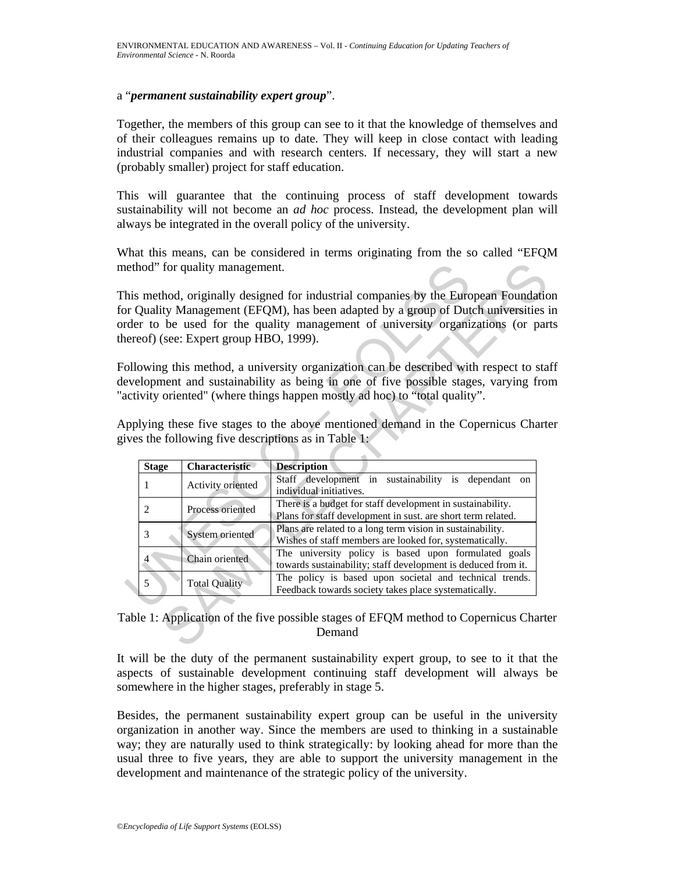#### a "*permanent sustainability expert group*".

Together, the members of this group can see to it that the knowledge of themselves and of their colleagues remains up to date. They will keep in close contact with leading industrial companies and with research centers. If necessary, they will start a new (probably smaller) project for staff education.

This will guarantee that the continuing process of staff development towards sustainability will not become an *ad hoc* process. Instead, the development plan will always be integrated in the overall policy of the university.

What this means, can be considered in terms originating from the so called "EFOM method" for quality management.

|                                                                                                                                                                                                                                                           |                | ethod" for quality management.         |                                                                                                                                                                                                                                                            |
|-----------------------------------------------------------------------------------------------------------------------------------------------------------------------------------------------------------------------------------------------------------|----------------|----------------------------------------|------------------------------------------------------------------------------------------------------------------------------------------------------------------------------------------------------------------------------------------------------------|
|                                                                                                                                                                                                                                                           |                | nereof) (see: Expert group HBO, 1999). | his method, originally designed for industrial companies by the European Foundation<br>or Quality Management (EFQM), has been adapted by a group of Dutch universities i<br>rder to be used for the quality management of university organizations (or par |
| ollowing this method, a university organization can be described with respect to sta<br>evelopment and sustainability as being in one of five possible stages, varying from<br>activity oriented" (where things happen mostly ad hoc) to "total quality". |                |                                        |                                                                                                                                                                                                                                                            |
| pplying these five stages to the above mentioned demand in the Copernicus Charte<br>ives the following five descriptions as in Table 1:                                                                                                                   |                |                                        |                                                                                                                                                                                                                                                            |
|                                                                                                                                                                                                                                                           | <b>Stage</b>   | Characteristic                         | <b>Description</b>                                                                                                                                                                                                                                         |
|                                                                                                                                                                                                                                                           | 1              | Activity oriented                      | Staff development in sustainability is dependant on<br>individual initiatives.                                                                                                                                                                             |
|                                                                                                                                                                                                                                                           | 2              | Process oriented                       | There is a budget for staff development in sustainability.                                                                                                                                                                                                 |
|                                                                                                                                                                                                                                                           |                |                                        | Plans for staff development in sust. are short term related.                                                                                                                                                                                               |
|                                                                                                                                                                                                                                                           | 3              | System oriented                        | Plans are related to a long term vision in sustainability.<br>Wishes of staff members are looked for, systematically.                                                                                                                                      |
|                                                                                                                                                                                                                                                           | $\overline{4}$ | Chain oriented                         | The university policy is based upon formulated goals<br>towards sustainability; staff development is deduced from it.                                                                                                                                      |
|                                                                                                                                                                                                                                                           | 5              | <b>Total Quality</b>                   | The policy is based upon societal and technical trends.<br>Feedback towards society takes place systematically.                                                                                                                                            |

### Table 1: Application of the five possible stages of EFQM method to Copernicus Charter Demand

It will be the duty of the permanent sustainability expert group, to see to it that the aspects of sustainable development continuing staff development will always be somewhere in the higher stages, preferably in stage 5.

Besides, the permanent sustainability expert group can be useful in the university organization in another way. Since the members are used to thinking in a sustainable way; they are naturally used to think strategically: by looking ahead for more than the usual three to five years, they are able to support the university management in the development and maintenance of the strategic policy of the university.